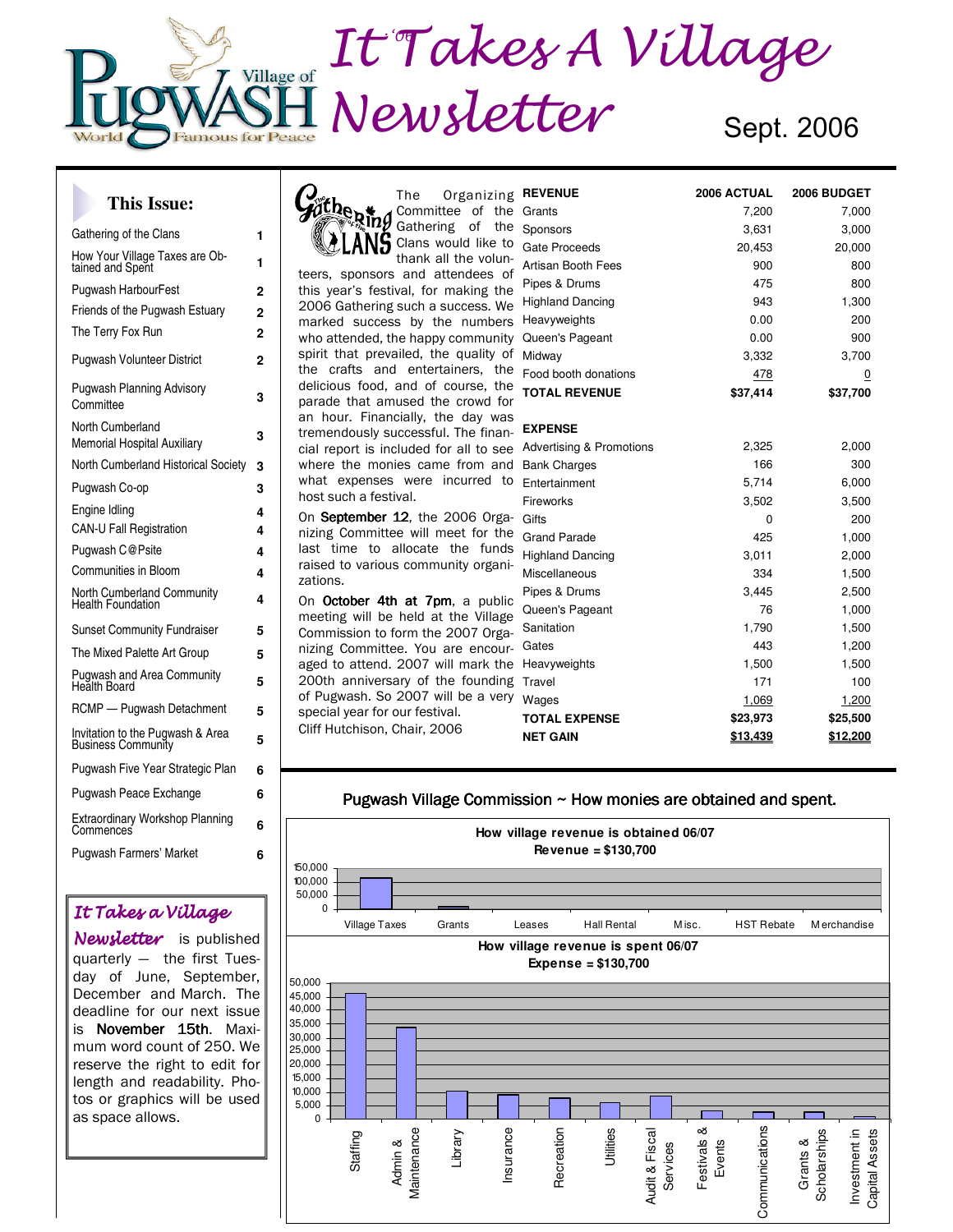# D September It Takes A Village Village of Newsletter Sept. 2006 **Famous for Peace**

#### **This Issue:**

| Gathering of the Clans                                        | 1              |
|---------------------------------------------------------------|----------------|
| How Your Village Taxes are Ob-<br>tained and Spent            | 1              |
| <b>Pugwash HarbourFest</b>                                    | 2              |
| Friends of the Pugwash Estuary                                | $\overline{2}$ |
| The Terry Fox Run                                             | 2              |
| <b>Pugwash Volunteer District</b>                             | 2              |
| <b>Pugwash Planning Advisory</b><br>Committee                 | 3              |
| North Cumberland<br><b>Memorial Hospital Auxiliary</b>        | 3              |
| North Cumberland Historical Society                           | 3              |
| Pugwash Co-op                                                 | 3              |
| Engine Idling                                                 | 4              |
| <b>CAN-U Fall Registration</b>                                | 4              |
| Pugwash C@Psite                                               | 4              |
| Communities in Bloom                                          | 4              |
| <b>North Cumberland Community</b><br><b>Health Foundation</b> | 4              |
| <b>Sunset Community Fundraiser</b>                            | 5              |
| The Mixed Palette Art Group                                   | 5              |
| <b>Pugwash and Area Community</b><br>Heălth Board             | 5              |
| RCMP - Pugwash Detachment                                     | 5              |
| Invitation to the Pugwash & Area<br><b>Business Community</b> | 5              |
| Pugwash Five Year Strategic Plan                              | 6              |
| Pugwash Peace Exchange                                        | 6              |
| Extraordinary Workshop Planning<br>Commences                  | 6              |
| <b>Pugwash Farmers' Market</b>                                | 6              |
|                                                               |                |

#### It Takes a Village

Newsletter is published quarterly — the first Tuesday of June, September, December and March. The deadline for our next issue is November 15th. Maximum word count of 250. We reserve the right to edit for length and readability. Photos or graphics will be used as space allows.



host such a festival. On September 12, the 2006 Organizing Committee will meet for the last time to allocate the funds raised to various community organizations. On October 4th at 7pm, a public

what expenses were incurred to

meeting will be held at the Village Commission to form the 2007 Organizing Committee. You are encouraged to attend. 2007 will mark the 200th anniversary of the founding of Pugwash. So 2007 will be a very special year for our festival. Cliff Hutchison, Chair, 2006

| <b>REVENUE</b>           | 2006 ACTUAL | 2006 BUDGET |
|--------------------------|-------------|-------------|
| Grants                   | 7,200       | 7,000       |
| Sponsors                 | 3,631       | 3,000       |
| Gate Proceeds            | 20,453      | 20,000      |
| Artisan Booth Fees       | 900         | 800         |
| Pipes & Drums            | 475         | 800         |
| <b>Highland Dancing</b>  | 943         | 1,300       |
| Heavyweights             | 0.00        | 200         |
| Queen's Pageant          | 0.00        | 900         |
| Midway                   | 3,332       | 3,700       |
| Food booth donations     | 478         | <u>0</u>    |
| <b>TOTAL REVENUE</b>     | \$37,414    | \$37,700    |
|                          |             |             |
| <b>EXPENSE</b>           |             |             |
| Advertising & Promotions | 2,325       | 2,000       |
| <b>Bank Charges</b>      | 166         | 300         |
| Entertainment            | 5,714       | 6,000       |
| Fireworks                | 3,502       | 3,500       |
| Gifts                    | 0           | 200         |
| <b>Grand Parade</b>      | 425         | 1,000       |
| <b>Highland Dancing</b>  | 3,011       | 2,000       |
| Miscellaneous            | 334         | 1,500       |
| Pipes & Drums            | 3,445       | 2,500       |
| Queen's Pageant          | 76          | 1,000       |
| Sanitation               | 1,790       | 1,500       |
| Gates                    | 443         | 1,200       |
| Heavyweights             | 1,500       | 1,500       |
| Travel                   | 171         | 100         |
| Wages                    | 1,069       | 1,200       |
| <b>TOTAL EXPENSE</b>     | \$23,973    | \$25,500    |
| <b>NET GAIN</b>          | \$13,439    | \$12,200    |

#### Pugwash Village Commission  $\sim$  How monies are obtained and spent.

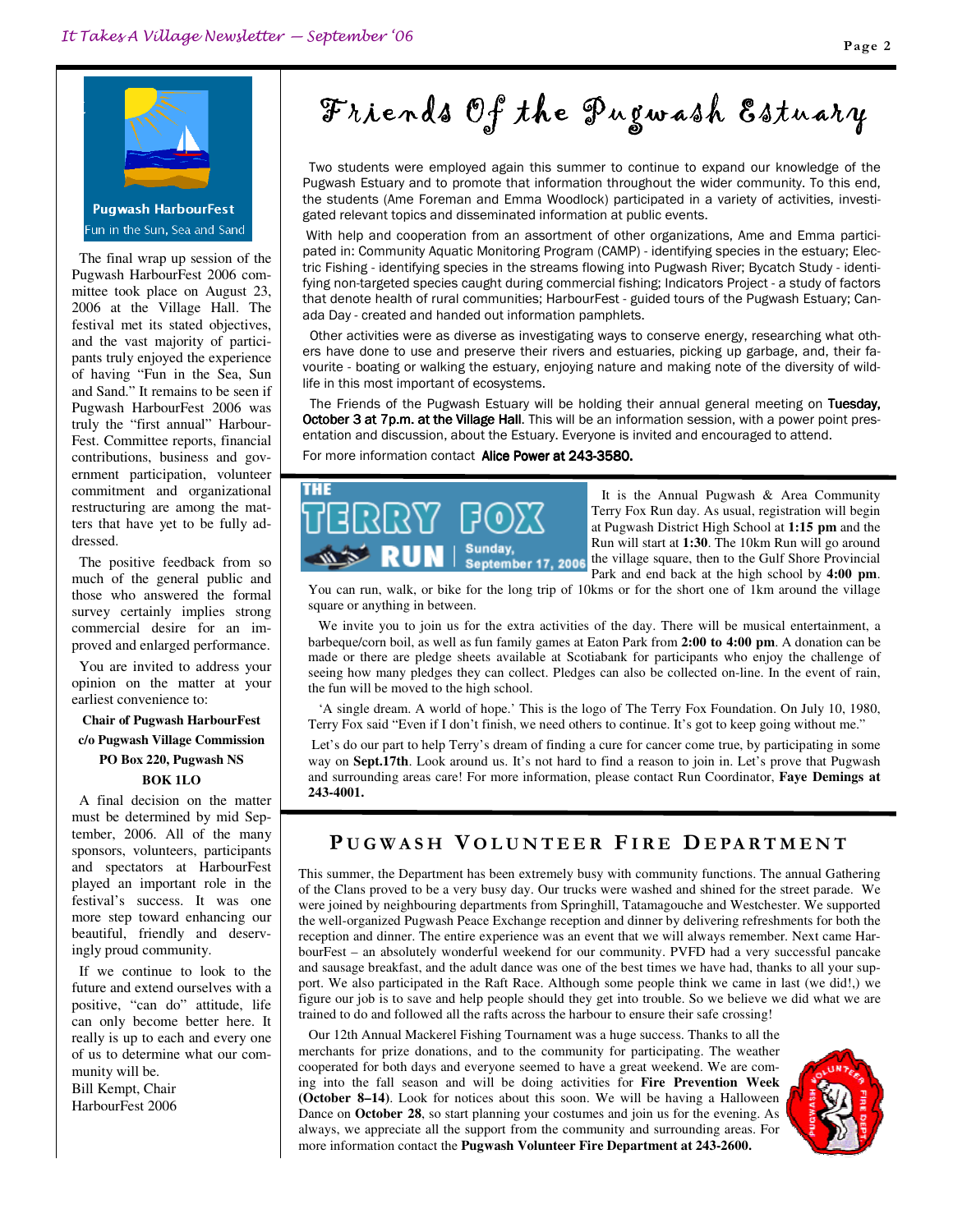

 The final wrap up session of the Pugwash HarbourFest 2006 committee took place on August 23, 2006 at the Village Hall. The festival met its stated objectives, and the vast majority of participants truly enjoyed the experience of having "Fun in the Sea, Sun and Sand." It remains to be seen if Pugwash HarbourFest 2006 was truly the "first annual" Harbour-Fest. Committee reports, financial contributions, business and government participation, volunteer commitment and organizational restructuring are among the matters that have yet to be fully addressed.

 The positive feedback from so much of the general public and those who answered the formal survey certainly implies strong commercial desire for an improved and enlarged performance.

 You are invited to address your opinion on the matter at your earliest convenience to:

#### **Chair of Pugwash HarbourFest c/o Pugwash Village Commission PO Box 220, Pugwash NS BOK 1LO**

 A final decision on the matter must be determined by mid September, 2006. All of the many sponsors, volunteers, participants and spectators at HarbourFest played an important role in the festival's success. It was one more step toward enhancing our beautiful, friendly and deservingly proud community.

 If we continue to look to the future and extend ourselves with a positive, "can do" attitude, life can only become better here. It really is up to each and every one of us to determine what our community will be.

Bill Kempt, Chair HarbourFest 2006

# Friends Of the Pugwash Estuary

 Two students were employed again this summer to continue to expand our knowledge of the Pugwash Estuary and to promote that information throughout the wider community. To this end, the students (Ame Foreman and Emma Woodlock) participated in a variety of activities, investigated relevant topics and disseminated information at public events.

 With help and cooperation from an assortment of other organizations, Ame and Emma participated in: Community Aquatic Monitoring Program (CAMP) - identifying species in the estuary; Electric Fishing - identifying species in the streams flowing into Pugwash River; Bycatch Study - identifying non-targeted species caught during commercial fishing; Indicators Project - a study of factors that denote health of rural communities; HarbourFest - guided tours of the Pugwash Estuary; Canada Day - created and handed out information pamphlets.

 Other activities were as diverse as investigating ways to conserve energy, researching what others have done to use and preserve their rivers and estuaries, picking up garbage, and, their favourite - boating or walking the estuary, enjoying nature and making note of the diversity of wildlife in this most important of ecosystems.

The Friends of the Pugwash Estuary will be holding their annual general meeting on Tuesday, October 3 at 7p.m. at the Village Hall. This will be an information session, with a power point presentation and discussion, about the Estuary. Everyone is invited and encouraged to attend.

#### For more information contact Alice Power at 243-3580.



 It is the Annual Pugwash & Area Community Terry Fox Run day. As usual, registration will begin at Pugwash District High School at **1:15 pm** and the Run will start at **1:30**. The 10km Run will go around the village square, then to the Gulf Shore Provincial Park and end back at the high school by **4:00 pm**.

You can run, walk, or bike for the long trip of 10kms or for the short one of 1km around the village square or anything in between.

 We invite you to join us for the extra activities of the day. There will be musical entertainment, a barbeque/corn boil, as well as fun family games at Eaton Park from **2:00 to 4:00 pm**. A donation can be made or there are pledge sheets available at Scotiabank for participants who enjoy the challenge of seeing how many pledges they can collect. Pledges can also be collected on-line. In the event of rain, the fun will be moved to the high school.

 'A single dream. A world of hope.' This is the logo of The Terry Fox Foundation. On July 10, 1980, Terry Fox said "Even if I don't finish, we need others to continue. It's got to keep going without me."

Let's do our part to help Terry's dream of finding a cure for cancer come true, by participating in some way on **Sept.17th**. Look around us. It's not hard to find a reason to join in. Let's prove that Pugwash and surrounding areas care! For more information, please contact Run Coordinator, **Faye Demings at 243-4001.**

#### PUGWASH VOLUNTEER FIRE DEPARTMENT

This summer, the Department has been extremely busy with community functions. The annual Gathering of the Clans proved to be a very busy day. Our trucks were washed and shined for the street parade. We were joined by neighbouring departments from Springhill, Tatamagouche and Westchester. We supported the well-organized Pugwash Peace Exchange reception and dinner by delivering refreshments for both the reception and dinner. The entire experience was an event that we will always remember. Next came HarbourFest – an absolutely wonderful weekend for our community. PVFD had a very successful pancake and sausage breakfast, and the adult dance was one of the best times we have had, thanks to all your support. We also participated in the Raft Race. Although some people think we came in last (we did!,) we figure our job is to save and help people should they get into trouble. So we believe we did what we are trained to do and followed all the rafts across the harbour to ensure their safe crossing!

 Our 12th Annual Mackerel Fishing Tournament was a huge success. Thanks to all the merchants for prize donations, and to the community for participating. The weather cooperated for both days and everyone seemed to have a great weekend. We are coming into the fall season and will be doing activities for **Fire Prevention Week (October 8–14)**. Look for notices about this soon. We will be having a Halloween Dance on **October 28**, so start planning your costumes and join us for the evening. As always, we appreciate all the support from the community and surrounding areas. For more information contact the **Pugwash Volunteer Fire Department at 243-2600.**

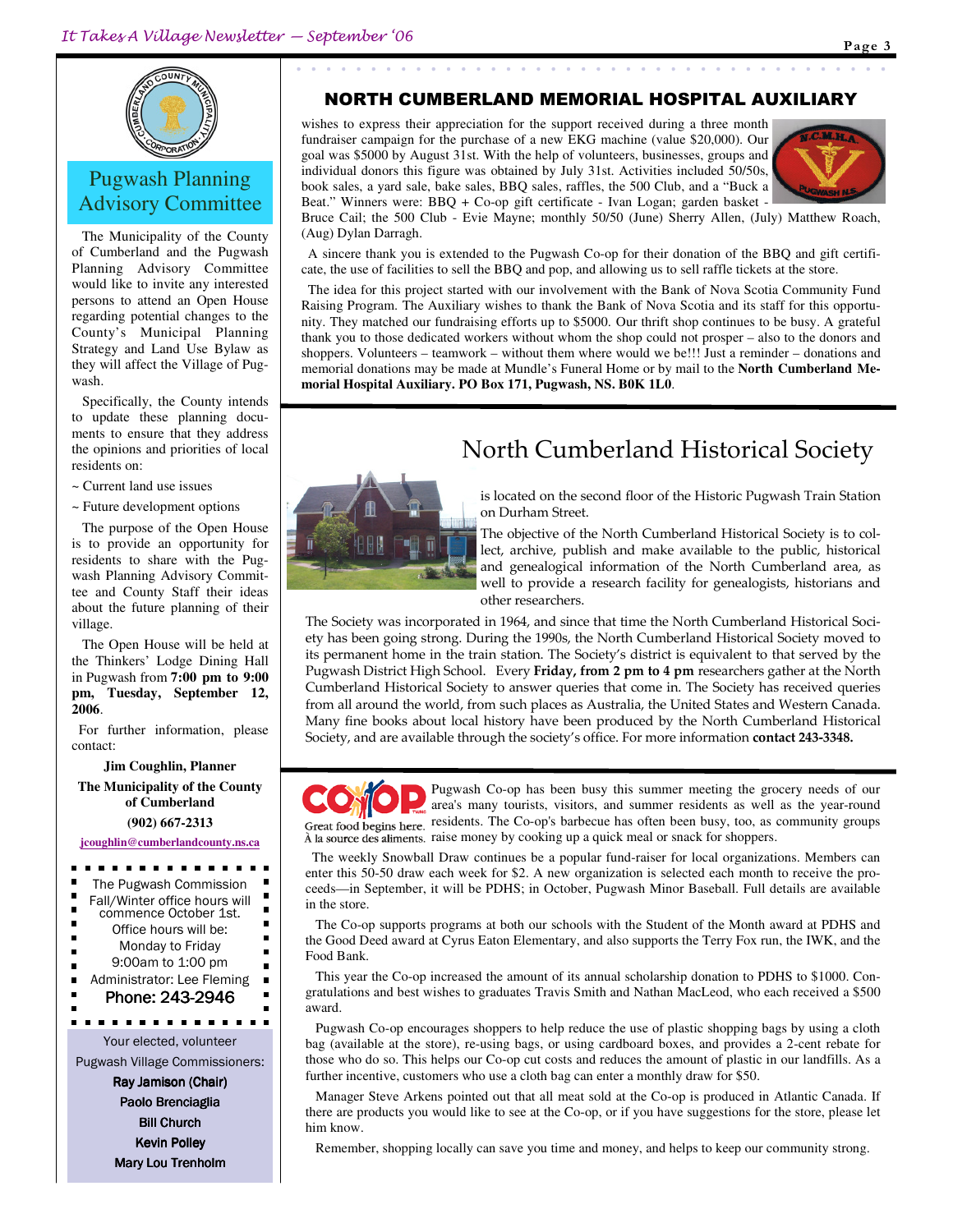

## Pugwash Planning Advisory Committee

 The Municipality of the County of Cumberland and the Pugwash Planning Advisory Committee would like to invite any interested persons to attend an Open House regarding potential changes to the County's Municipal Planning Strategy and Land Use Bylaw as they will affect the Village of Pugwash.

 Specifically, the County intends to update these planning documents to ensure that they address the opinions and priorities of local residents on:

~ Current land use issues

~ Future development options

 The purpose of the Open House is to provide an opportunity for residents to share with the Pugwash Planning Advisory Committee and County Staff their ideas about the future planning of their village.

 The Open House will be held at the Thinkers' Lodge Dining Hall in Pugwash from **7:00 pm to 9:00 pm, Tuesday, September 12, 2006**.

 For further information, please contact:

**Jim Coughlin, Planner** 

**The Municipality of the County of Cumberland** 

**(902) 667-2313** 

**jcoughlin@cumberlandcounty.ns.ca**

. . . . . . . . The Pugwash Commission Ė  $\blacksquare$ Fall/Winter office hours will commence October 1st.  $\blacksquare$ Office hours will be: ×  $\blacksquare$ Monday to Friday п  $\blacksquare$ 9:00am to 1:00 pm Administrator: Lee Fleming Phone: 243-2946 Your elected, volunteer Pugwash Village Commissioners: Ray Jamison (Chair) Paolo Brenciaglia **Bill Church** Kevin Polley Mary Lou Trenholm

#### NORTH CUMBERLAND MEMORIAL HOSPITAL AUXILIARY

wishes to express their appreciation for the support received during a three month fundraiser campaign for the purchase of a new EKG machine (value \$20,000). Our goal was \$5000 by August 31st. With the help of volunteers, businesses, groups and individual donors this figure was obtained by July 31st. Activities included 50/50s, book sales, a yard sale, bake sales, BBQ sales, raffles, the 500 Club, and a "Buck a Beat." Winners were: BBQ + Co-op gift certificate - Ivan Logan; garden basket -



Bruce Cail; the 500 Club - Evie Mayne; monthly 50/50 (June) Sherry Allen, (July) Matthew Roach, (Aug) Dylan Darragh.

 A sincere thank you is extended to the Pugwash Co-op for their donation of the BBQ and gift certificate, the use of facilities to sell the BBQ and pop, and allowing us to sell raffle tickets at the store.

 The idea for this project started with our involvement with the Bank of Nova Scotia Community Fund Raising Program. The Auxiliary wishes to thank the Bank of Nova Scotia and its staff for this opportunity. They matched our fundraising efforts up to \$5000. Our thrift shop continues to be busy. A grateful thank you to those dedicated workers without whom the shop could not prosper – also to the donors and shoppers. Volunteers – teamwork – without them where would we be!!! Just a reminder – donations and memorial donations may be made at Mundle's Funeral Home or by mail to the **North Cumberland Memorial Hospital Auxiliary. PO Box 171, Pugwash, NS. B0K 1L0**.

# North Cumberland Historical Society



is located on the second floor of the Historic Pugwash Train Station on Durham Street.

The objective of the North Cumberland Historical Society is to collect, archive, publish and make available to the public, historical and genealogical information of the North Cumberland area, as well to provide a research facility for genealogists, historians and other researchers.

The Society was incorporated in 1964, and since that time the North Cumberland Historical Society has been going strong. During the 1990s, the North Cumberland Historical Society moved to its permanent home in the train station. The Society's district is equivalent to that served by the Pugwash District High School. Every Friday, from 2 pm to 4 pm researchers gather at the North Cumberland Historical Society to answer queries that come in. The Society has received queries from all around the world, from such places as Australia, the United States and Western Canada. Many fine books about local history have been produced by the North Cumberland Historical Society, and are available through the society's office. For more information contact 243-3348.



Pugwash Co-op has been busy this summer meeting the grocery needs of our area's many tourists, visitors, and summer residents as well as the year-round Great food begins here. residents. The Co-op's barbecue has often been busy, too, as community groups À la source des aliments. raise money by cooking up a quick meal or snack for shoppers.

 The weekly Snowball Draw continues be a popular fund-raiser for local organizations. Members can enter this 50-50 draw each week for \$2. A new organization is selected each month to receive the proceeds—in September, it will be PDHS; in October, Pugwash Minor Baseball. Full details are available in the store.

 The Co-op supports programs at both our schools with the Student of the Month award at PDHS and the Good Deed award at Cyrus Eaton Elementary, and also supports the Terry Fox run, the IWK, and the Food Bank.

 This year the Co-op increased the amount of its annual scholarship donation to PDHS to \$1000. Congratulations and best wishes to graduates Travis Smith and Nathan MacLeod, who each received a \$500 award.

 Pugwash Co-op encourages shoppers to help reduce the use of plastic shopping bags by using a cloth bag (available at the store), re-using bags, or using cardboard boxes, and provides a 2-cent rebate for those who do so. This helps our Co-op cut costs and reduces the amount of plastic in our landfills. As a further incentive, customers who use a cloth bag can enter a monthly draw for \$50.

 Manager Steve Arkens pointed out that all meat sold at the Co-op is produced in Atlantic Canada. If there are products you would like to see at the Co-op, or if you have suggestions for the store, please let him know.

Remember, shopping locally can save you time and money, and helps to keep our community strong.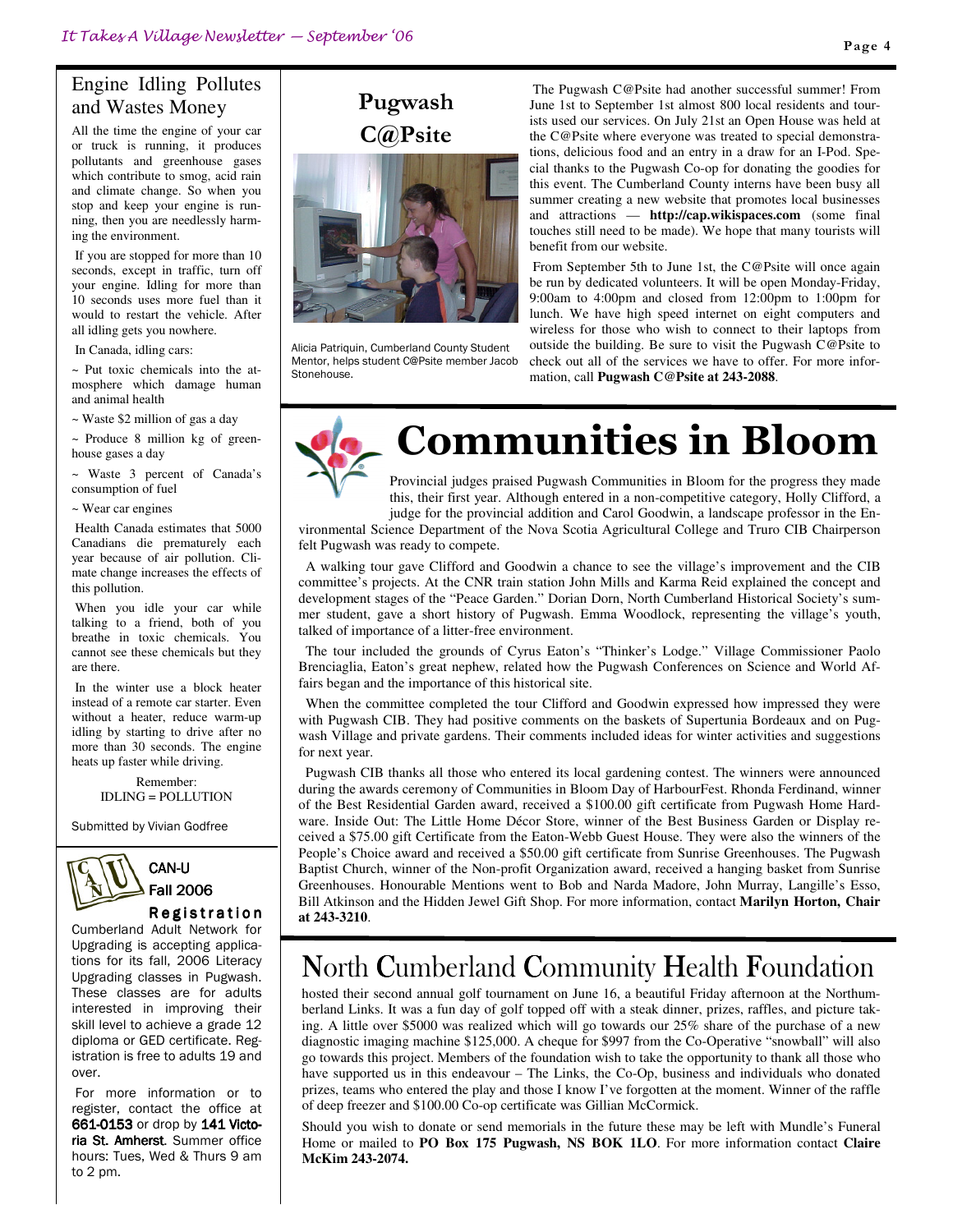## Engine Idling Pollutes and Wastes Money

All the time the engine of your car or truck is running, it produces pollutants and greenhouse gases which contribute to smog, acid rain and climate change. So when you stop and keep your engine is running, then you are needlessly harming the environment.

If you are stopped for more than 10 seconds, except in traffic, turn off your engine. Idling for more than 10 seconds uses more fuel than it would to restart the vehicle. After all idling gets you nowhere.

In Canada, idling cars:

~ Put toxic chemicals into the atmosphere which damage human and animal health

~ Waste \$2 million of gas a day

 $\sim$  Produce 8 million kg of greenhouse gases a day

~ Waste 3 percent of Canada's consumption of fuel

~ Wear car engines

Health Canada estimates that 5000 Canadians die prematurely each year because of air pollution. Climate change increases the effects of this pollution.

When you idle your car while talking to a friend, both of you breathe in toxic chemicals. You cannot see these chemicals but they are there.

In the winter use a block heater instead of a remote car starter. Even without a heater, reduce warm-up idling by starting to drive after no more than 30 seconds. The engine heats up faster while driving.

> Remember: IDLING = POLLUTION

Submitted by Vivian Godfree



#### **Registration**

Cumberland Adult Network for Upgrading is accepting applications for its fall, 2006 Literacy Upgrading classes in Pugwash. These classes are for adults interested in improving their skill level to achieve a grade 12 diploma or GED certificate. Registration is free to adults 19 and over.

 For more information or to register, contact the office at 661-0153 or drop by 141 Victoria St. Amherst. Summer office hours: Tues, Wed & Thurs 9 am to 2 pm.



Alicia Patriquin, Cumberland County Student Mentor, helps student C@Psite member Jacob Stonehouse.

 The Pugwash C@Psite had another successful summer! From June 1st to September 1st almost 800 local residents and tourists used our services. On July 21st an Open House was held at the C@Psite where everyone was treated to special demonstrations, delicious food and an entry in a draw for an I-Pod. Special thanks to the Pugwash Co-op for donating the goodies for this event. The Cumberland County interns have been busy all summer creating a new website that promotes local businesses and attractions — **http://cap.wikispaces.com** (some final touches still need to be made). We hope that many tourists will benefit from our website.

From September 5th to June 1st, the C@Psite will once again be run by dedicated volunteers. It will be open Monday-Friday, 9:00am to 4:00pm and closed from 12:00pm to 1:00pm for lunch. We have high speed internet on eight computers and wireless for those who wish to connect to their laptops from outside the building. Be sure to visit the Pugwash C@Psite to check out all of the services we have to offer. For more information, call **Pugwash C@Psite at 243-2088**.



# Communities in Bloom

Provincial judges praised Pugwash Communities in Bloom for the progress they made this, their first year. Although entered in a non-competitive category, Holly Clifford, a judge for the provincial addition and Carol Goodwin, a landscape professor in the En-

vironmental Science Department of the Nova Scotia Agricultural College and Truro CIB Chairperson felt Pugwash was ready to compete.

A walking tour gave Clifford and Goodwin a chance to see the village's improvement and the CIB committee's projects. At the CNR train station John Mills and Karma Reid explained the concept and development stages of the "Peace Garden." Dorian Dorn, North Cumberland Historical Society's summer student, gave a short history of Pugwash. Emma Woodlock, representing the village's youth, talked of importance of a litter-free environment.

The tour included the grounds of Cyrus Eaton's "Thinker's Lodge." Village Commissioner Paolo Brenciaglia, Eaton's great nephew, related how the Pugwash Conferences on Science and World Affairs began and the importance of this historical site.

When the committee completed the tour Clifford and Goodwin expressed how impressed they were with Pugwash CIB. They had positive comments on the baskets of Supertunia Bordeaux and on Pugwash Village and private gardens. Their comments included ideas for winter activities and suggestions for next year.

Pugwash CIB thanks all those who entered its local gardening contest. The winners were announced during the awards ceremony of Communities in Bloom Day of HarbourFest. Rhonda Ferdinand, winner of the Best Residential Garden award, received a \$100.00 gift certificate from Pugwash Home Hardware. Inside Out: The Little Home Décor Store, winner of the Best Business Garden or Display received a \$75.00 gift Certificate from the Eaton-Webb Guest House. They were also the winners of the People's Choice award and received a \$50.00 gift certificate from Sunrise Greenhouses. The Pugwash Baptist Church, winner of the Non-profit Organization award, received a hanging basket from Sunrise Greenhouses. Honourable Mentions went to Bob and Narda Madore, John Murray, Langille's Esso, Bill Atkinson and the Hidden Jewel Gift Shop. For more information, contact **Marilyn Horton, Chair at 243-3210**.

# North Cumberland Community Health Foundation

hosted their second annual golf tournament on June 16, a beautiful Friday afternoon at the Northumberland Links. It was a fun day of golf topped off with a steak dinner, prizes, raffles, and picture taking. A little over \$5000 was realized which will go towards our 25% share of the purchase of a new diagnostic imaging machine \$125,000. A cheque for \$997 from the Co-Operative "snowball" will also go towards this project. Members of the foundation wish to take the opportunity to thank all those who have supported us in this endeavour – The Links, the Co-Op, business and individuals who donated prizes, teams who entered the play and those I know I've forgotten at the moment. Winner of the raffle of deep freezer and \$100.00 Co-op certificate was Gillian McCormick.

Should you wish to donate or send memorials in the future these may be left with Mundle's Funeral Home or mailed to **PO Box 175 Pugwash, NS BOK 1LO**. For more information contact **Claire McKim 243-2074.**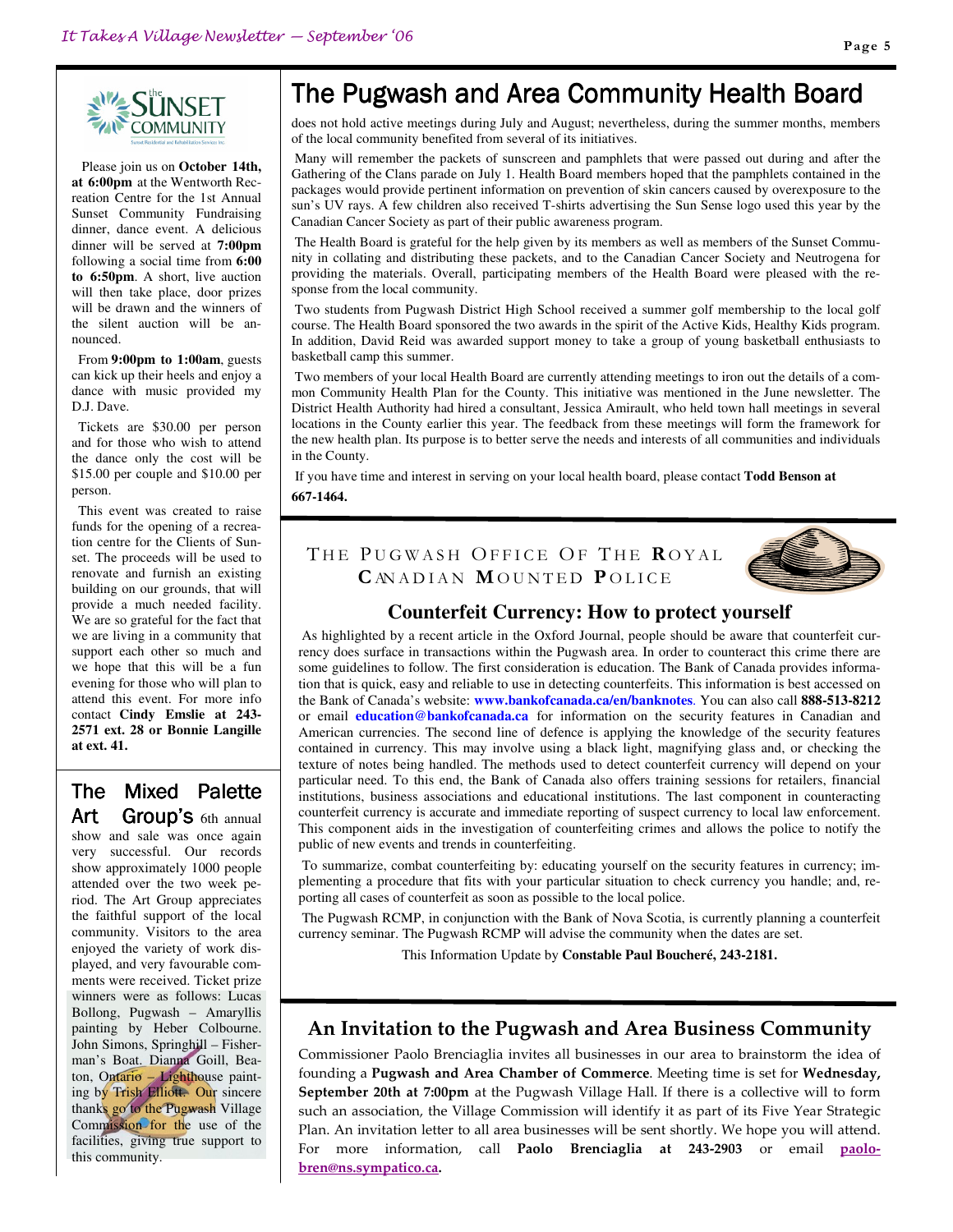

 Please join us on **October 14th, at 6:00pm** at the Wentworth Recreation Centre for the 1st Annual Sunset Community Fundraising dinner, dance event. A delicious dinner will be served at **7:00pm** following a social time from **6:00 to 6:50pm**. A short, live auction will then take place, door prizes will be drawn and the winners of the silent auction will be announced.

 From **9:00pm to 1:00am**, guests can kick up their heels and enjoy a dance with music provided my D.J. Dave.

 Tickets are \$30.00 per person and for those who wish to attend the dance only the cost will be \$15.00 per couple and \$10.00 per person.

 This event was created to raise funds for the opening of a recreation centre for the Clients of Sunset. The proceeds will be used to renovate and furnish an existing building on our grounds, that will provide a much needed facility. We are so grateful for the fact that we are living in a community that support each other so much and we hope that this will be a fun evening for those who will plan to attend this event. For more info contact **Cindy Emslie at 243- 2571 ext. 28 or Bonnie Langille at ext. 41.**

# The Mixed Palette

Art Group's 6th annual show and sale was once again very successful. Our records show approximately 1000 people attended over the two week period. The Art Group appreciates the faithful support of the local community. Visitors to the area enjoyed the variety of work displayed, and very favourable comments were received. Ticket prize winners were as follows: Lucas Bollong, Pugwash – Amaryllis painting by Heber Colbourne. John Simons, Springhill – Fisherman's Boat. Dianna Goill, Beaton, Ontario – Lighthouse painting by Trish Elliott. Our sincere thanks go to the Pugwash Village Commission for the use of the facilities, giving true support to this community.

# The Pugwash and Area Community Health Board

does not hold active meetings during July and August; nevertheless, during the summer months, members of the local community benefited from several of its initiatives.

Many will remember the packets of sunscreen and pamphlets that were passed out during and after the Gathering of the Clans parade on July 1. Health Board members hoped that the pamphlets contained in the packages would provide pertinent information on prevention of skin cancers caused by overexposure to the sun's UV rays. A few children also received T-shirts advertising the Sun Sense logo used this year by the Canadian Cancer Society as part of their public awareness program.

The Health Board is grateful for the help given by its members as well as members of the Sunset Community in collating and distributing these packets, and to the Canadian Cancer Society and Neutrogena for providing the materials. Overall, participating members of the Health Board were pleased with the response from the local community.

Two students from Pugwash District High School received a summer golf membership to the local golf course. The Health Board sponsored the two awards in the spirit of the Active Kids, Healthy Kids program. In addition, David Reid was awarded support money to take a group of young basketball enthusiasts to basketball camp this summer.

Two members of your local Health Board are currently attending meetings to iron out the details of a common Community Health Plan for the County. This initiative was mentioned in the June newsletter. The District Health Authority had hired a consultant, Jessica Amirault, who held town hall meetings in several locations in the County earlier this year. The feedback from these meetings will form the framework for the new health plan. Its purpose is to better serve the needs and interests of all communities and individuals in the County.

If you have time and interest in serving on your local health board, please contact **Todd Benson at 667-1464.** 

THE PUGWASH OFFICE OF THE ROYAL CAN ADIAN MOUNTED POLICE



#### **Counterfeit Currency: How to protect yourself**

As highlighted by a recent article in the Oxford Journal, people should be aware that counterfeit currency does surface in transactions within the Pugwash area. In order to counteract this crime there are some guidelines to follow. The first consideration is education. The Bank of Canada provides information that is quick, easy and reliable to use in detecting counterfeits. This information is best accessed on the Bank of Canada's website: **www.bankofcanada.ca/en/banknotes**. You can also call **888-513-8212** or email **education@bankofcanada.ca** for information on the security features in Canadian and American currencies. The second line of defence is applying the knowledge of the security features contained in currency. This may involve using a black light, magnifying glass and, or checking the texture of notes being handled. The methods used to detect counterfeit currency will depend on your particular need. To this end, the Bank of Canada also offers training sessions for retailers, financial institutions, business associations and educational institutions. The last component in counteracting counterfeit currency is accurate and immediate reporting of suspect currency to local law enforcement. This component aids in the investigation of counterfeiting crimes and allows the police to notify the public of new events and trends in counterfeiting.

To summarize, combat counterfeiting by: educating yourself on the security features in currency; implementing a procedure that fits with your particular situation to check currency you handle; and, reporting all cases of counterfeit as soon as possible to the local police.

The Pugwash RCMP, in conjunction with the Bank of Nova Scotia, is currently planning a counterfeit currency seminar. The Pugwash RCMP will advise the community when the dates are set.

This Information Update by **Constable Paul Boucheré, 243-2181.**

#### An Invitation to the Pugwash and Area Business Community

Commissioner Paolo Brenciaglia invites all businesses in our area to brainstorm the idea of founding a Pugwash and Area Chamber of Commerce. Meeting time is set for Wednesday, September 20th at 7:00pm at the Pugwash Village Hall. If there is a collective will to form such an association, the Village Commission will identify it as part of its Five Year Strategic Plan. An invitation letter to all area businesses will be sent shortly. We hope you will attend. For more information, call Paolo Brenciaglia at 243-2903 or email paolobren@ns.sympatico.ca.